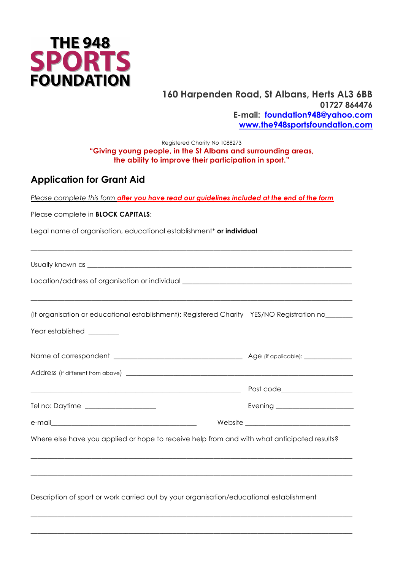

#### **160 Harpenden Road, St Albans, Herts AL3 6BB 01727 864476 E-mail: foundation948@yahoo.com www.the948sportsfoundation.com**

#### Registered Charity No 1088273 **"Giving young people, in the St Albans and surrounding areas, the ability to improve their participation in sport."**

### **Application for Grant Aid**

*Please complete this form after you have read our guidelines included at the end of the form*

\_\_\_\_\_\_\_\_\_\_\_\_\_\_\_\_\_\_\_\_\_\_\_\_\_\_\_\_\_\_\_\_\_\_\_\_\_\_\_\_\_\_\_\_\_\_\_\_\_\_\_\_\_\_\_\_\_\_\_\_\_\_\_\_\_\_\_\_\_\_\_\_\_\_\_\_\_\_\_\_\_\_\_\_\_\_\_\_\_\_\_\_\_\_\_

Please complete in **BLOCK CAPITALS**:

Legal name of organisation, educational establishment\* **or individual**

Usually known as

Location/address of organisation or individual  $\overline{\phantom{a}}$ 

(If organisation or educational establishment): Registered Charity YES/NO Registration no\_\_\_\_\_\_\_\_

\_\_\_\_\_\_\_\_\_\_\_\_\_\_\_\_\_\_\_\_\_\_\_\_\_\_\_\_\_\_\_\_\_\_\_\_\_\_\_\_\_\_\_\_\_\_\_\_\_\_\_\_\_\_\_\_\_\_\_\_\_\_\_\_\_\_\_\_\_\_\_\_\_\_\_\_\_\_\_\_\_\_\_\_\_\_\_\_\_\_\_\_\_\_\_

Year established \_\_\_\_\_\_\_\_\_

|                                      | Post code______________________ |
|--------------------------------------|---------------------------------|
| Tel no: Daytime ____________________ |                                 |
|                                      |                                 |
|                                      |                                 |

Where else have you applied or hope to receive help from and with what anticipated results?

\_\_\_\_\_\_\_\_\_\_\_\_\_\_\_\_\_\_\_\_\_\_\_\_\_\_\_\_\_\_\_\_\_\_\_\_\_\_\_\_\_\_\_\_\_\_\_\_\_\_\_\_\_\_\_\_\_\_\_\_\_\_\_\_\_\_\_\_\_\_\_\_\_\_\_\_\_\_\_\_\_\_\_\_\_\_\_\_\_\_\_\_\_\_\_

\_\_\_\_\_\_\_\_\_\_\_\_\_\_\_\_\_\_\_\_\_\_\_\_\_\_\_\_\_\_\_\_\_\_\_\_\_\_\_\_\_\_\_\_\_\_\_\_\_\_\_\_\_\_\_\_\_\_\_\_\_\_\_\_\_\_\_\_\_\_\_\_\_\_\_\_\_\_\_\_\_\_\_\_\_\_\_\_\_\_\_\_\_\_\_

\_\_\_\_\_\_\_\_\_\_\_\_\_\_\_\_\_\_\_\_\_\_\_\_\_\_\_\_\_\_\_\_\_\_\_\_\_\_\_\_\_\_\_\_\_\_\_\_\_\_\_\_\_\_\_\_\_\_\_\_\_\_\_\_\_\_\_\_\_\_\_\_\_\_\_\_\_\_\_\_\_\_\_\_\_\_\_\_\_\_\_\_\_\_\_

\_\_\_\_\_\_\_\_\_\_\_\_\_\_\_\_\_\_\_\_\_\_\_\_\_\_\_\_\_\_\_\_\_\_\_\_\_\_\_\_\_\_\_\_\_\_\_\_\_\_\_\_\_\_\_\_\_\_\_\_\_\_\_\_\_\_\_\_\_\_\_\_\_\_\_\_\_\_\_\_\_\_\_\_\_\_\_\_\_\_\_\_\_\_\_

Description of sport or work carried out by your organisation/educational establishment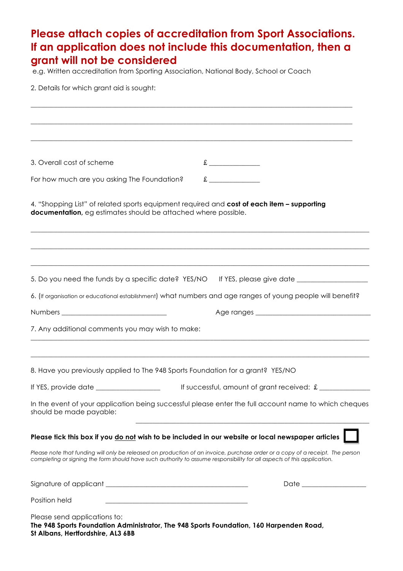| Please attach copies of accreditation from Sport Associations.<br>If an application does not include this documentation, then a<br>grant will not be considered<br>e.g. Written accreditation from Sporting Association, National Body, School or Coach<br>2. Details for which grant aid is sought:                                                                                                                                                                                        |  |  |
|---------------------------------------------------------------------------------------------------------------------------------------------------------------------------------------------------------------------------------------------------------------------------------------------------------------------------------------------------------------------------------------------------------------------------------------------------------------------------------------------|--|--|
|                                                                                                                                                                                                                                                                                                                                                                                                                                                                                             |  |  |
|                                                                                                                                                                                                                                                                                                                                                                                                                                                                                             |  |  |
|                                                                                                                                                                                                                                                                                                                                                                                                                                                                                             |  |  |
| $\begin{tabular}{c} \multicolumn{2}{c }{\textbf{1}} & \multicolumn{2}{c }{\textbf{2}} & \multicolumn{2}{c }{\textbf{3}} & \multicolumn{2}{c }{\textbf{4}} & \multicolumn{2}{c }{\textbf{5}} & \multicolumn{2}{c }{\textbf{6}} & \multicolumn{2}{c }{\textbf{7}} & \multicolumn{2}{c }{\textbf{8}} & \multicolumn{2}{c }{\textbf{9}} & \multicolumn{2}{c }{\textbf{1}} & \multicolumn{2}{c }{\textbf{1}} & \multicolumn{2}{c }{\textbf{1}} & \multicolumn{2}{c$<br>3. Overall cost of scheme |  |  |
| f<br>For how much are you asking The Foundation?                                                                                                                                                                                                                                                                                                                                                                                                                                            |  |  |
| 4. "Shopping List" of related sports equipment required and cost of each item - supporting<br>documentation, eg estimates should be attached where possible.                                                                                                                                                                                                                                                                                                                                |  |  |
| 5. Do you need the funds by a specific date? YES/NO If YES, please give date ______________________                                                                                                                                                                                                                                                                                                                                                                                         |  |  |
| 6. (If organisation or educational establishment) what numbers and age ranges of young people will benefit?                                                                                                                                                                                                                                                                                                                                                                                 |  |  |
|                                                                                                                                                                                                                                                                                                                                                                                                                                                                                             |  |  |
| 7. Any additional comments you may wish to make:                                                                                                                                                                                                                                                                                                                                                                                                                                            |  |  |
| 8. Have you previously applied to The 948 Sports Foundation for a grant? YES/NO                                                                                                                                                                                                                                                                                                                                                                                                             |  |  |
| If YES, provide date _________________<br>If successful, amount of grant received: £                                                                                                                                                                                                                                                                                                                                                                                                        |  |  |
| In the event of your application being successful please enter the full account name to which cheques<br>should be made payable:                                                                                                                                                                                                                                                                                                                                                            |  |  |
| Please tick this box if you do not wish to be included in our website or local newspaper articles                                                                                                                                                                                                                                                                                                                                                                                           |  |  |
| Please note that funding will only be released on production of an invoice, purchase order or a copy of a receipt. The person<br>completing or signing the form should have such authority to assume responsibility for all aspects of this application.                                                                                                                                                                                                                                    |  |  |
| Date that the contract of the contract of the contract of the contract of the contract of the contract of the contract of the contract of the contract of the contract of the contract of the contract of the contract of the                                                                                                                                                                                                                                                               |  |  |
| Position held                                                                                                                                                                                                                                                                                                                                                                                                                                                                               |  |  |
| Please send applications to:<br>The 948 Sports Foundation Administrator, The 948 Sports Foundation, 160 Harpenden Road,<br>St Albans, Hertfordshire, AL3 6BB                                                                                                                                                                                                                                                                                                                                |  |  |